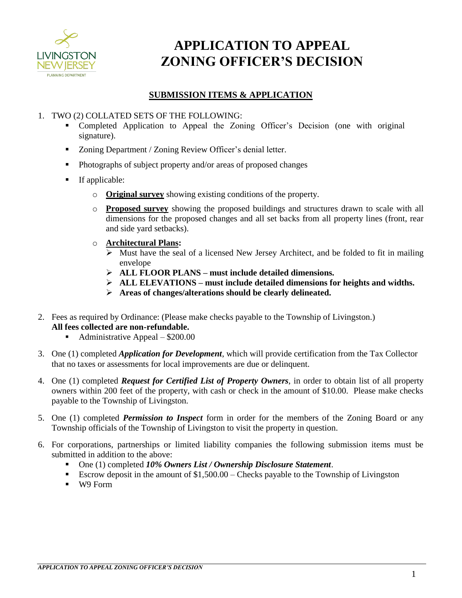

# **APPLICATION TO APPEAL ZONING OFFICER'S DECISION**

### **SUBMISSION ITEMS & APPLICATION**

### 1. TWO (2) COLLATED SETS OF THE FOLLOWING:

- Completed Application to Appeal the Zoning Officer's Decision (one with original signature).
- Zoning Department / Zoning Review Officer's denial letter.
- Photographs of subject property and/or areas of proposed changes
- **If applicable:** 
	- o **Original survey** showing existing conditions of the property.
	- o **Proposed survey** showing the proposed buildings and structures drawn to scale with all dimensions for the proposed changes and all set backs from all property lines (front, rear and side yard setbacks).
	- o **Architectural Plans:**
		- $\triangleright$  Must have the seal of a licensed New Jersey Architect, and be folded to fit in mailing envelope
		- **ALL FLOOR PLANS must include detailed dimensions.**
		- **ALL ELEVATIONS – must include detailed dimensions for heights and widths.**
		- **Areas of changes/alterations should be clearly delineated.**
- 2. Fees as required by Ordinance: (Please make checks payable to the Township of Livingston.) **All fees collected are non-refundable.**
	- Administrative Appeal \$200.00
- 3. One (1) completed *Application for Development*, which will provide certification from the Tax Collector that no taxes or assessments for local improvements are due or delinquent.
- 4. One (1) completed *Request for Certified List of Property Owners*, in order to obtain list of all property owners within 200 feet of the property, with cash or check in the amount of \$10.00. Please make checks payable to the Township of Livingston.
- 5. One (1) completed *Permission to Inspect* form in order for the members of the Zoning Board or any Township officials of the Township of Livingston to visit the property in question.
- 6. For corporations, partnerships or limited liability companies the following submission items must be submitted in addition to the above:
	- One (1) completed *10% Owners List / Ownership Disclosure Statement*.
	- Escrow deposit in the amount of \$1,500.00 Checks payable to the Township of Livingston
	- W9 Form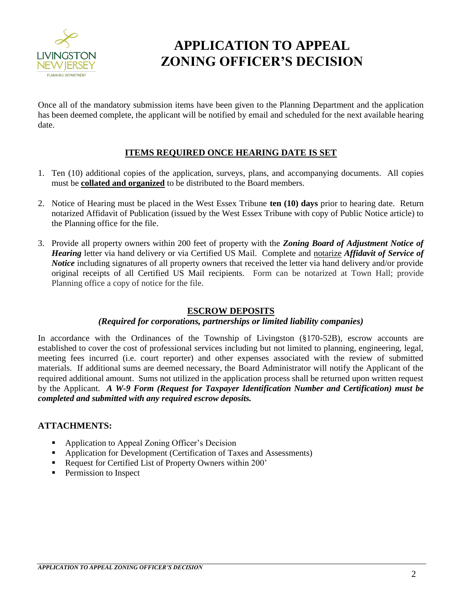

# **APPLICATION TO APPEAL ZONING OFFICER'S DECISION**

Once all of the mandatory submission items have been given to the Planning Department and the application has been deemed complete, the applicant will be notified by email and scheduled for the next available hearing date.

### **ITEMS REQUIRED ONCE HEARING DATE IS SET**

- 1. Ten (10) additional copies of the application, surveys, plans, and accompanying documents. All copies must be **collated and organized** to be distributed to the Board members.
- 2. Notice of Hearing must be placed in the West Essex Tribune **ten (10) days** prior to hearing date. Return notarized Affidavit of Publication (issued by the West Essex Tribune with copy of Public Notice article) to the Planning office for the file.
- 3. Provide all property owners within 200 feet of property with the *Zoning Board of Adjustment Notice of Hearing* letter via hand delivery or via Certified US Mail. Complete and notarize *Affidavit of Service of Notice* including signatures of all property owners that received the letter via hand delivery and/or provide original receipts of all Certified US Mail recipients. Form can be notarized at Town Hall; provide Planning office a copy of notice for the file.

#### **ESCROW DEPOSITS**

## *(Required for corporations, partnerships or limited liability companies)*

In accordance with the Ordinances of the Township of Livingston (§170-52B), escrow accounts are established to cover the cost of professional services including but not limited to planning, engineering, legal, meeting fees incurred (i.e. court reporter) and other expenses associated with the review of submitted materials. If additional sums are deemed necessary, the Board Administrator will notify the Applicant of the required additional amount. Sums not utilized in the application process shall be returned upon written request by the Applicant. *A W-9 Form (Request for Taxpayer Identification Number and Certification) must be completed and submitted with any required escrow deposits.* 

#### **ATTACHMENTS:**

- Application to Appeal Zoning Officer's Decision
- Application for Development (Certification of Taxes and Assessments)
- Request for Certified List of Property Owners within 200'
- **Permission to Inspect**